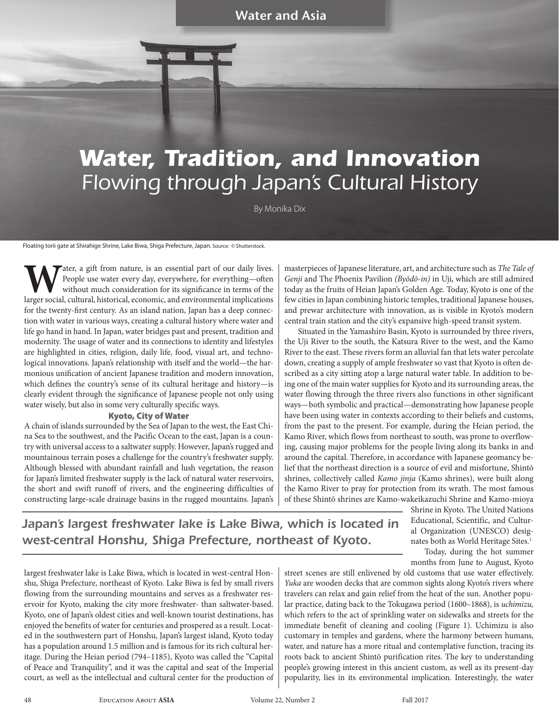Water and Asia

# *Water, Tradition, and Innovation Flowing through Japan's Cultural History*

By Monika Dix

Floating torii gate at Shirahige Shrine, Lake Biwa, Shiga Prefecture, Japan. Source: © Shutterstock.

Tater, a gift from nature, is an essential part of our daily lives. People use water every day, everywhere, for everything—often without much consideration for its significance in terms of the larger social, cultural, historical, economic, and environmental implications for the twenty-first century. As an island nation, Japan has a deep connection with water in various ways, creating a cultural history where water and life go hand in hand. In Japan, water bridges past and present, tradition and modernity. The usage of water and its connections to identity and lifestyles are highlighted in cities, religion, daily life, food, visual art, and technological innovations. Japan's relationship with itself and the world—the harmonious unification of ancient Japanese tradition and modern innovation, which defines the country's sense of its cultural heritage and history—is clearly evident through the significance of Japanese people not only using water wisely, but also in some very culturally specific ways.

#### Kyoto, City of Water

A chain of islands surrounded by the Sea of Japan to the west, the East China Sea to the southwest, and the Pacific Ocean to the east, Japan is a country with universal access to a saltwater supply. However, Japan's rugged and mountainous terrain poses a challenge for the country's freshwater supply. Although blessed with abundant rainfall and lush vegetation, the reason for Japan's limited freshwater supply is the lack of natural water reservoirs, the short and swift runoff of rivers, and the engineering difficulties of constructing large-scale drainage basins in the rugged mountains. Japan's masterpieces of Japanese literature, art, and architecture such as *The Tale of Genji* and The Phoenix Pavilion *(Byōdō-in)* in Uji, which are still admired today as the fruits of Heian Japan's Golden Age. Today, Kyoto is one of the few cities in Japan combining historic temples, traditional Japanese houses, and prewar architecture with innovation, as is visible in Kyoto's modern central train station and the city's expansive high-speed transit system.

Situated in the Yamashiro Basin, Kyoto is surrounded by three rivers, the Uji River to the south, the Katsura River to the west, and the Kamo River to the east. These rivers form an alluvial fan that lets water percolate down, creating a supply of ample freshwater so vast that Kyoto is often described as a city sitting atop a large natural water table. In addition to being one of the main water supplies for Kyoto and its surrounding areas, the water flowing through the three rivers also functions in other significant ways—both symbolic and practical—demonstrating how Japanese people have been using water in contexts according to their beliefs and customs, from the past to the present. For example, during the Heian period, the Kamo River, which flows from northeast to south, was prone to overflowing, causing major problems for the people living along its banks in and around the capital. Therefore, in accordance with Japanese geomancy belief that the northeast direction is a source of evil and misfortune, Shintō shrines, collectively called *Kamo jinja* (Kamo shrines), were built along the Kamo River to pray for protection from its wrath. The most famous of these Shintō shrines are Kamo-wakeikazuchi Shrine and Kamo-mioya

Japan's largest freshwater lake is Lake Biwa, which is located in *west-central Honshu, Shiga Prefecture, northeast of Kyoto.*

largest freshwater lake is Lake Biwa, which is located in west-central Honshu, Shiga Prefecture, northeast of Kyoto. Lake Biwa is fed by small rivers flowing from the surrounding mountains and serves as a freshwater reservoir for Kyoto, making the city more freshwater- than saltwater-based. Kyoto, one of Japan's oldest cities and well-known tourist destinations, has enjoyed the benefits of water for centuries and prospered as a result. Located in the southwestern part of Honshu, Japan's largest island, Kyoto today has a population around 1.5 million and is famous for its rich cultural heritage. During the Heian period (794–1185), Kyoto was called the "Capital of Peace and Tranquility", and it was the capital and seat of the Imperial court, as well as the intellectual and cultural center for the production of

months from June to August, Kyoto street scenes are still enlivened by old customs that use water effectively. *Yuka* are wooden decks that are common sights along Kyoto's rivers where travelers can relax and gain relief from the heat of the sun. Another popular practice, dating back to the Tokugawa period (1600–1868), is *uchimizu,*  which refers to the act of sprinkling water on sidewalks and streets for the immediate benefit of cleaning and cooling (Figure 1). Uchimizu is also customary in temples and gardens, where the harmony between humans, water, and nature has a more ritual and contemplative function, tracing its roots back to ancient Shintō purification rites. The key to understanding people's growing interest in this ancient custom, as well as its present-day popularity, lies in its environmental implication. Interestingly, the water

Shrine in Kyoto. The United Nations Educational, Scientific, and Cultural Organization (UNESCO) designates both as World Heritage Sites.<sup>1</sup> Today, during the hot summer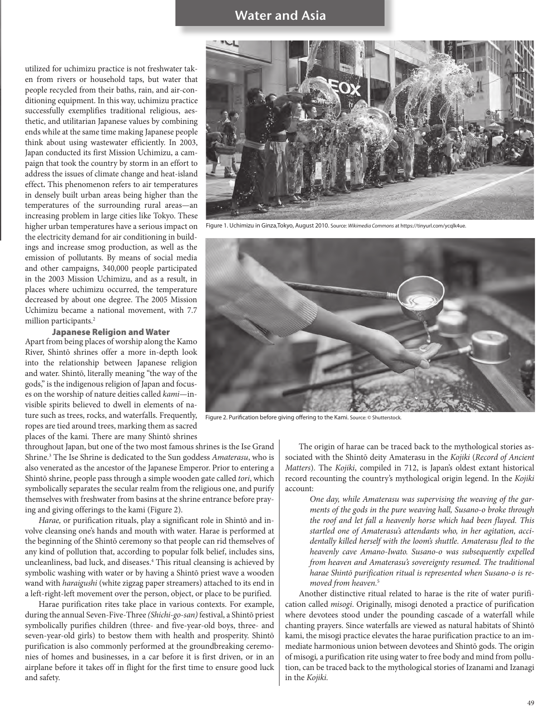## Water and Asia

utilized for uchimizu practice is not freshwater taken from rivers or household taps, but water that people recycled from their baths, rain, and air-conditioning equipment. In this way, uchimizu practice successfully exemplifies traditional religious, aesthetic, and utilitarian Japanese values by combining ends while at the same time making Japanese people think about using wastewater efficiently. In 2003, Japan conducted its first Mission Uchimizu, a campaign that took the country by storm in an effort to address the issues of climate change and heat-island effect**.** This phenomenon refers to air temperatures in densely built urban areas being higher than the temperatures of the surrounding rural areas—an increasing problem in large cities like Tokyo. These higher urban temperatures have a serious impact on the electricity demand for air conditioning in buildings and increase smog production, as well as the emission of pollutants. By means of social media and other campaigns, 340,000 people participated in the 2003 Mission Uchimizu, and as a result, in places where uchimizu occurred, the temperature decreased by about one degree. The 2005 Mission Uchimizu became a national movement, with 7.7 million participants.<sup>2</sup>

### Japanese Religion and Water

Apart from being places of worship along the Kamo River, Shintō shrines offer a more in-depth look into the relationship between Japanese religion and water. Shintō, literally meaning "the way of the gods," is the indigenous religion of Japan and focuses on the worship of nature deities called *kami*—invisible spirits believed to dwell in elements of nature such as trees, rocks, and waterfalls. Frequently, ropes are tied around trees, marking them as sacred places of the kami*.* There are many Shintō shrines

throughout Japan, but one of the two most famous shrines is the Ise Grand Shrine.<sup>3</sup> The Ise Shrine is dedicated to the Sun goddess Amaterasu, who is also venerated as the ancestor of the Japanese Emperor. Prior to entering a Shintō shrine, people pass through a simple wooden gate called *tori*, which symbolically separates the secular realm from the religious one, and purify themselves with freshwater from basins at the shrine entrance before praying and giving offerings to the kami (Figure 2).

*Harae,* or purification rituals, play a significant role in Shintō and involve cleansing one's hands and mouth with water. Harae is performed at the beginning of the Shintō ceremony so that people can rid themselves of any kind of pollution that, according to popular folk belief, includes sins, uncleanliness, bad luck, and diseases.<sup>4</sup> This ritual cleansing is achieved by symbolic washing with water or by having a Shintō priest wave a wooden wand with *haraigushi* (white zigzag paper streamers) attached to its end in a left-right-left movement over the person, object, or place to be purified.

Harae purification rites take place in various contexts. For example, during the annual Seven-Five-Three *(Shichi-go-san)* festival, a Shintō priest symbolically purifies children (three- and five-year-old boys, three- and seven-year-old girls) to bestow them with health and prosperity. Shintō purification is also commonly performed at the groundbreaking ceremonies of homes and businesses, in a car before it is first driven, or in an airplane before it takes off in flight for the first time to ensure good luck and safety.



Figure 1. Uchimizu in Ginza,Tokyo, August 2010. Source: *Wikimedia Commons* at https://tinyurl.com/ycqlk4ue.



Figure 2. Purification before giving offering to the Kami. Source: © Shutterstock.

The origin of harae can be traced back to the mythological stories associated with the Shintō deity Amaterasu in the *Kojiki* (*Record of Ancient Matters*). The *Kojiki*, compiled in 712, is Japan's oldest extant historical record recounting the country's mythological origin legend. In the *Kojiki* account:

*One day, while Amaterasu was supervising the weaving of the garments of the gods in the pure weaving hall, Susano-o broke through the roof and let fall a heavenly horse which had been flayed. This startled one of Amaterasu's attendants who, in her agitation, accidentally killed herself with the loom's shuttle. Amaterasu fled to the heavenly cave Amano-Iwato. Susano-o was subsequently expelled from heaven and Amaterasu's sovereignty resumed. The traditional harae Shintō purification ritual is represented when Susano-o is removed from heaven.*<sup>5</sup>

Another distinctive ritual related to harae is the rite of water purification called *misogi*. Originally, misogi denoted a practice of purification where devotees stood under the pounding cascade of a waterfall while chanting prayers. Since waterfalls are viewed as natural habitats of Shintō kami, the misogi practice elevates the harae purification practice to an immediate harmonious union between devotees and Shintō gods. The origin of misogi*,* a purification rite using water to free body and mind from pollution, can be traced back to the mythological stories of Izanami and Izanagi in the *Kojiki.*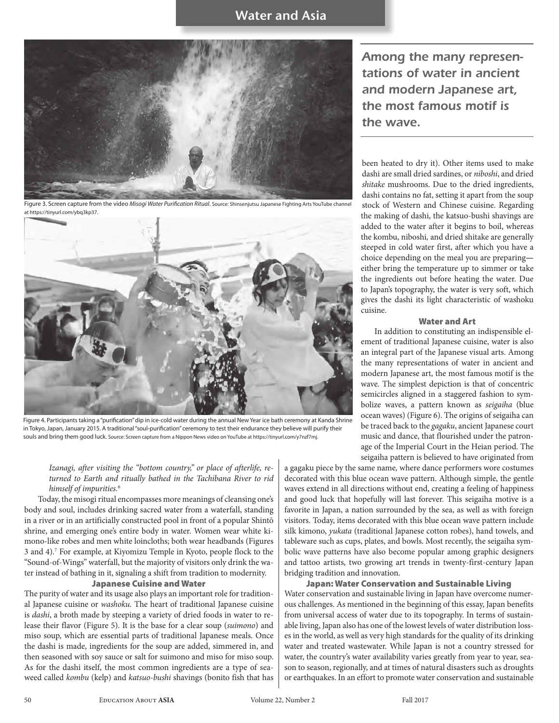

Figure 3. Screen capture from the video *Misogi Water Purification Ritual*. Source: Shinsenjutsu Japanese Fighting Arts YouTube channel at https://tinyurl.com/ybq3kp37.



Figure 4. Participants taking a "purification" dip in ice-cold water during the annual New Year ice bath ceremony at Kanda Shrine in Tokyo, Japan, January 2015. A traditional "soul-purification" ceremony to test their endurance they believe will purify their souls and bring them good luck. Source: Screen capture from a Nippon News video on YouTube at https://tinyurl.com/y7nzf7mj.

### *Izanagi, after visiting the "bottom country," or place of afterlife, returned to Earth and ritually bathed in the Tachibana River to rid himself of impurities.*<sup>6</sup>

Today, the misogi ritual encompasses more meanings of cleansing one's body and soul, includes drinking sacred water from a waterfall, standing in a river or in an artificially constructed pool in front of a popular Shintō shrine, and emerging one's entire body in water. Women wear white kimono-like robes and men white loincloths; both wear headbands (Figures 3 and 4).7 For example, at Kiyomizu Temple in Kyoto, people flock to the "Sound-of-Wings" waterfall, but the majority of visitors only drink the water instead of bathing in it, signaling a shift from tradition to modernity.

#### Japanese Cuisine and Water

The purity of water and its usage also plays an important role for traditional Japanese cuisine or *washoku*. The heart of traditional Japanese cuisine is *dashi*, a broth made by steeping a variety of dried foods in water to release their flavor (Figure 5). It is the base for a clear soup (*suimono*) and miso soup, which are essential parts of traditional Japanese meals. Once the dashi is made, ingredients for the soup are added, simmered in, and then seasoned with soy sauce or salt for suimono and miso for miso soup. As for the dashi itself, the most common ingredients are a type of seaweed called *kombu* (kelp) and *katsuo-bushi* shavings (bonito fish that has *Among the many representations of water in ancient and modern Japanese art, the most famous motif is the wave.*

been heated to dry it). Other items used to make dashi are small dried sardines, or *niboshi*, and dried *shitake* mushrooms. Due to the dried ingredients, dashi contains no fat, setting it apart from the soup stock of Western and Chinese cuisine. Regarding the making of dashi, the katsuo-bushi shavings are added to the water after it begins to boil, whereas the kombu, niboshi*,* and dried shitake are generally steeped in cold water first, after which you have a choice depending on the meal you are preparing either bring the temperature up to simmer or take the ingredients out before heating the water. Due to Japan's topography, the water is very soft, which gives the dashi its light characteristic of washoku cuisine.

#### Water and Art

In addition to constituting an indispensible element of traditional Japanese cuisine, water is also an integral part of the Japanese visual arts. Among the many representations of water in ancient and modern Japanese art, the most famous motif is the wave. The simplest depiction is that of concentric semicircles aligned in a staggered fashion to symbolize waves, a pattern known as *seigaiha* (blue ocean waves) (Figure 6). The origins of seigaiha can be traced back to the *gagaku*, ancient Japanese court music and dance, that flourished under the patronage of the Imperial Court in the Heian period. The seigaiha pattern is believed to have originated from

a gagaku piece by the same name*,* where dance performers wore costumes decorated with this blue ocean wave pattern. Although simple, the gentle waves extend in all directions without end, creating a feeling of happiness and good luck that hopefully will last forever. This seigaiha motive is a favorite in Japan, a nation surrounded by the sea, as well as with foreign visitors. Today, items decorated with this blue ocean wave pattern include silk kimono, *yukata* (traditional Japanese cotton robes), hand towels, and tableware such as cups, plates, and bowls. Most recently, the seigaiha symbolic wave patterns have also become popular among graphic designers and tattoo artists, two growing art trends in twenty-first-century Japan bridging tradition and innovation.

### Japan: Water Conservation and Sustainable Living

Water conservation and sustainable living in Japan have overcome numerous challenges. As mentioned in the beginning of this essay, Japan benefits from universal access of water due to its topography. In terms of sustainable living, Japan also has one of the lowest levels of water distribution losses in the world, as well as very high standards for the quality of its drinking water and treated wastewater. While Japan is not a country stressed for water, the country's water availability varies greatly from year to year, season to season, regionally, and at times of natural disasters such as droughts or earthquakes. In an effort to promote water conservation and sustainable